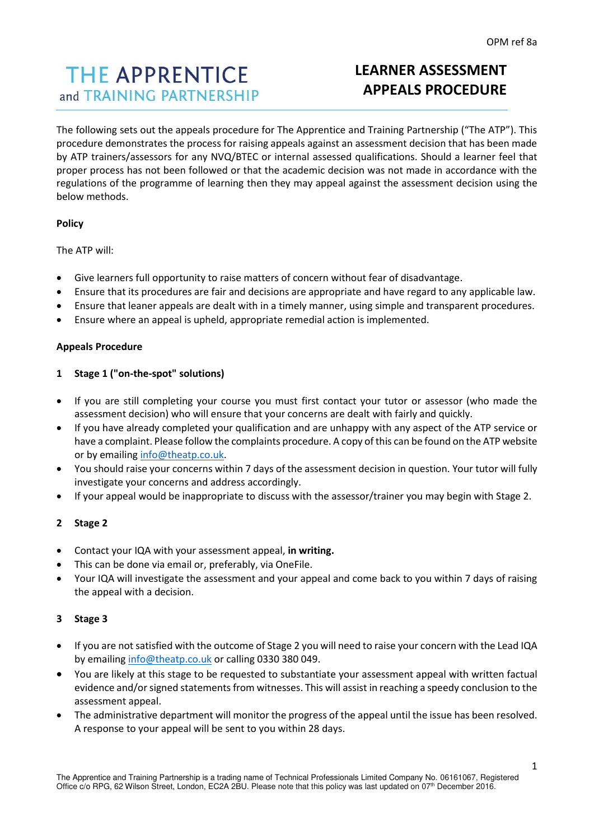# **THE APPRENTICE** and TRAINING PARTNERSHIP

# **LEARNER ASSESSMENT APPEALS PROCEDURE**

The following sets out the appeals procedure for The Apprentice and Training Partnership ("The ATP"). This procedure demonstrates the process for raising appeals against an assessment decision that has been made by ATP trainers/assessors for any NVQ/BTEC or internal assessed qualifications. Should a learner feel that proper process has not been followed or that the academic decision was not made in accordance with the regulations of the programme of learning then they may appeal against the assessment decision using the below methods.

# **Policy**

The ATP will:

- Give learners full opportunity to raise matters of concern without fear of disadvantage.
- Ensure that its procedures are fair and decisions are appropriate and have regard to any applicable law.
- Ensure that leaner appeals are dealt with in a timely manner, using simple and transparent procedures.
- Ensure where an appeal is upheld, appropriate remedial action is implemented.

#### **Appeals Procedure**

#### **1 Stage 1 ("on-the-spot" solutions)**

- If you are still completing your course you must first contact your tutor or assessor (who made the assessment decision) who will ensure that your concerns are dealt with fairly and quickly.
- If you have already completed your qualification and are unhappy with any aspect of the ATP service or have a complaint. Please follow the complaints procedure. A copy of this can be found on the ATP website or by emailin[g info@theatp.co.uk.](mailto:info@theatp.co.uk)
- You should raise your concerns within 7 days of the assessment decision in question. Your tutor will fully investigate your concerns and address accordingly.
- If your appeal would be inappropriate to discuss with the assessor/trainer you may begin with Stage 2.

## **2 Stage 2**

- Contact your IQA with your assessment appeal, **in writing.**
- This can be done via email or, preferably, via OneFile.
- Your IQA will investigate the assessment and your appeal and come back to you within 7 days of raising the appeal with a decision.

## **3 Stage 3**

- If you are not satisfied with the outcome of Stage 2 you will need to raise your concern with the Lead IQA by emailin[g info@theatp.co.uk](mailto:info@theatp.co.uk) or calling 0330 380 049.
- You are likely at this stage to be requested to substantiate your assessment appeal with written factual evidence and/or signed statements from witnesses. This will assist in reaching a speedy conclusion to the assessment appeal.
- The administrative department will monitor the progress of the appeal until the issue has been resolved. A response to your appeal will be sent to you within 28 days.